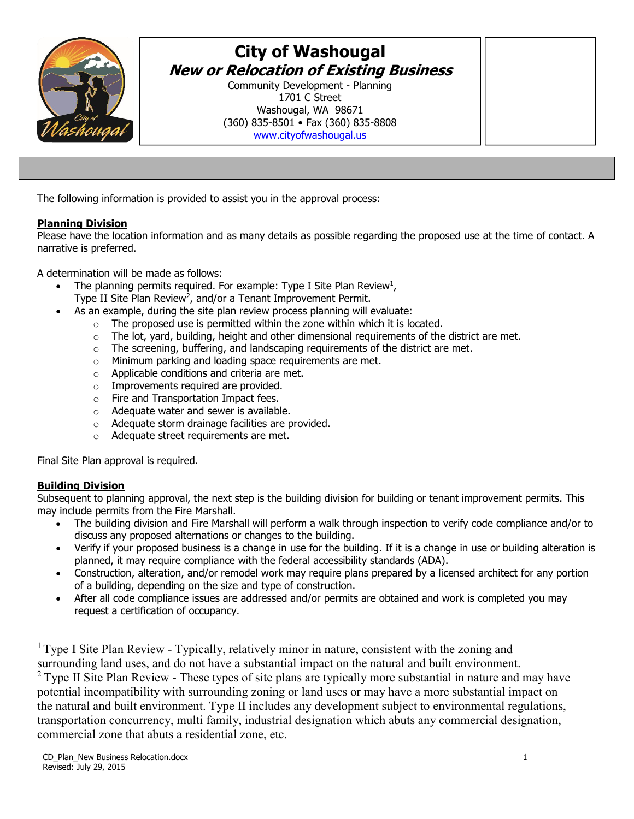

# **City of Washougal New or Relocation of Existing Business**

Community Development - Planning 1701 C Street Washougal, WA 98671 (360) 835-8501 • Fax (360) 835-8808 www.cityofwashougal.us

The following information is provided to assist you in the approval process:

## **Planning Division**

Please have the location information and as many details as possible regarding the proposed use at the time of contact. A narrative is preferred.

A determination will be made as follows:

- The planning permits required. For example: Type I Site Plan Review<sup>1</sup>,
	- Type II Site Plan Review<sup>2</sup>, and/or a Tenant Improvement Permit.
- As an example, during the site plan review process planning will evaluate:
	- $\circ$  The proposed use is permitted within the zone within which it is located.
	- $\circ$  The lot, yard, building, height and other dimensional requirements of the district are met.
	- $\circ$  The screening, buffering, and landscaping requirements of the district are met.
	- o Minimum parking and loading space requirements are met.
	- o Applicable conditions and criteria are met.
	- o Improvements required are provided.
	- o Fire and Transportation Impact fees.
	- o Adequate water and sewer is available.
	- o Adequate storm drainage facilities are provided.
	- o Adequate street requirements are met.

Final Site Plan approval is required.

## **Building Division**

Subsequent to planning approval, the next step is the building division for building or tenant improvement permits. This may include permits from the Fire Marshall.

- The building division and Fire Marshall will perform a walk through inspection to verify code compliance and/or to discuss any proposed alternations or changes to the building.
- Verify if your proposed business is a change in use for the building. If it is a change in use or building alteration is planned, it may require compliance with the federal accessibility standards (ADA).
- Construction, alteration, and/or remodel work may require plans prepared by a licensed architect for any portion of a building, depending on the size and type of construction.
- After all code compliance issues are addressed and/or permits are obtained and work is completed you may request a certification of occupancy.

<sup>&</sup>lt;sup>1</sup> Type I Site Plan Review - Typically, relatively minor in nature, consistent with the zoning and surrounding land uses, and do not have a substantial impact on the natural and built environment.

<sup>&</sup>lt;sup>2</sup> Type II Site Plan Review - These types of site plans are typically more substantial in nature and may have potential incompatibility with surrounding zoning or land uses or may have a more substantial impact on the natural and built environment. Type II includes any development subject to environmental regulations, transportation concurrency, multi family, industrial designation which abuts any commercial designation, commercial zone that abuts a residential zone, etc.